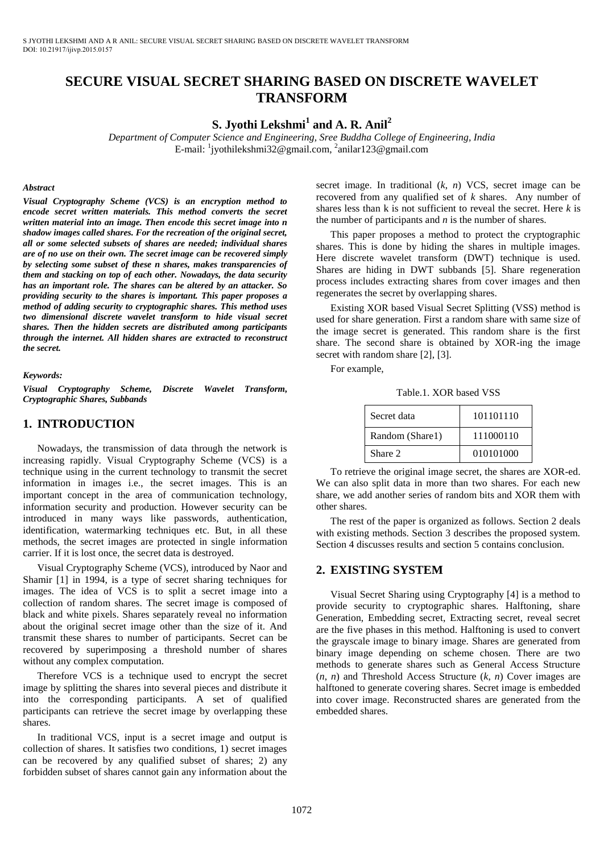# **SECURE VISUAL SECRET SHARING BASED ON DISCRETE WAVELET TRANSFORM**

## **S. Jyothi Lekshmi<sup>1</sup> and A. R. Anil<sup>2</sup>**

*Department of Computer Science and Engineering, Sree Buddha College of Engineering, India*  E-mail: <sup>1</sup>jyothilekshmi32@gmail.com, <sup>2</sup>anilar123@gmail.com

#### *Abstract*

*Visual Cryptography Scheme (VCS) is an encryption method to*  encode secret written materials. This method converts the secret *written material into an image. Then encode this secret image into n shadow images called shares. For the recreation of the original secret, all or some selected subsets of shares are needed; individual shares are of no use on their own. The secret image can be recovered simply by selecting some subset of these n shares, makes transparencies of them and stacking on top of each other. Nowadays, the data security has an important role. The shares can be altered by an attacker. So providing security to the shares is important. This paper proposes a method of adding security to cryptographic shares. This method uses two dimensional discrete wavelet transform to hide visual secret shares. Then the hidden secrets are distributed among participants through the internet. All hidden shares are extracted to reconstruct the secret.* 

#### *Keywords:*

*Visual Cryptography Scheme, Discrete Wavelet Transform, Cryptographic Shares, Subbands* 

### **1. INTRODUCTION**

Nowadays, the transmission of data through the network is increasing rapidly. Visual Cryptography Scheme (VCS) is a technique using in the current technology to transmit the secret information in images i.e., the secret images. This is an important concept in the area of communication technology, information security and production. However security can be introduced in many ways like passwords, authentication, identification, watermarking techniques etc. But, in all these methods, the secret images are protected in single information carrier. If it is lost once, the secret data is destroyed.

Visual Cryptography Scheme (VCS), introduced by Naor and Shamir [1] in 1994, is a type of secret sharing techniques for images. The idea of VCS is to split a secret image into a collection of random shares. The secret image is composed of black and white pixels. Shares separately reveal no information about the original secret image other than the size of it. And transmit these shares to number of participants. Secret can be recovered by superimposing a threshold number of shares without any complex computation.

Therefore VCS is a technique used to encrypt the secret image by splitting the shares into several pieces and distribute it into the corresponding participants. A set of qualified participants can retrieve the secret image by overlapping these shares.

In traditional VCS, input is a secret image and output is collection of shares. It satisfies two conditions, 1) secret images can be recovered by any qualified subset of shares; 2) any forbidden subset of shares cannot gain any information about the secret image. In traditional (*k*, *n*) VCS, secret image can be recovered from any qualified set of *k* shares. Any number of shares less than k is not sufficient to reveal the secret. Here *k* is the number of participants and *n* is the number of shares.

This paper proposes a method to protect the cryptographic shares. This is done by hiding the shares in multiple images. Here discrete wavelet transform (DWT) technique is used. Shares are hiding in DWT subbands [5]. Share regeneration process includes extracting shares from cover images and then regenerates the secret by overlapping shares.

Existing XOR based Visual Secret Splitting (VSS) method is used for share generation. First a random share with same size of the image secret is generated. This random share is the first share. The second share is obtained by XOR-ing the image secret with random share [2], [3].

For example,

Table.1. XOR based VSS

| Secret data     | 101101110 |
|-----------------|-----------|
| Random (Share1) | 111000110 |
| Share 2         | 010101000 |

To retrieve the original image secret, the shares are XOR-ed. We can also split data in more than two shares. For each new share, we add another series of random bits and XOR them with other shares.

The rest of the paper is organized as follows. Section 2 deals with existing methods. Section 3 describes the proposed system. Section 4 discusses results and section 5 contains conclusion.

## **2. EXISTING SYSTEM**

Visual Secret Sharing using Cryptography [4] is a method to provide security to cryptographic shares. Halftoning, share Generation, Embedding secret, Extracting secret, reveal secret are the five phases in this method. Halftoning is used to convert the grayscale image to binary image. Shares are generated from binary image depending on scheme chosen. There are two methods to generate shares such as General Access Structure (*n*, *n*) and Threshold Access Structure (*k*, *n*) Cover images are halftoned to generate covering shares. Secret image is embedded into cover image. Reconstructed shares are generated from the embedded shares.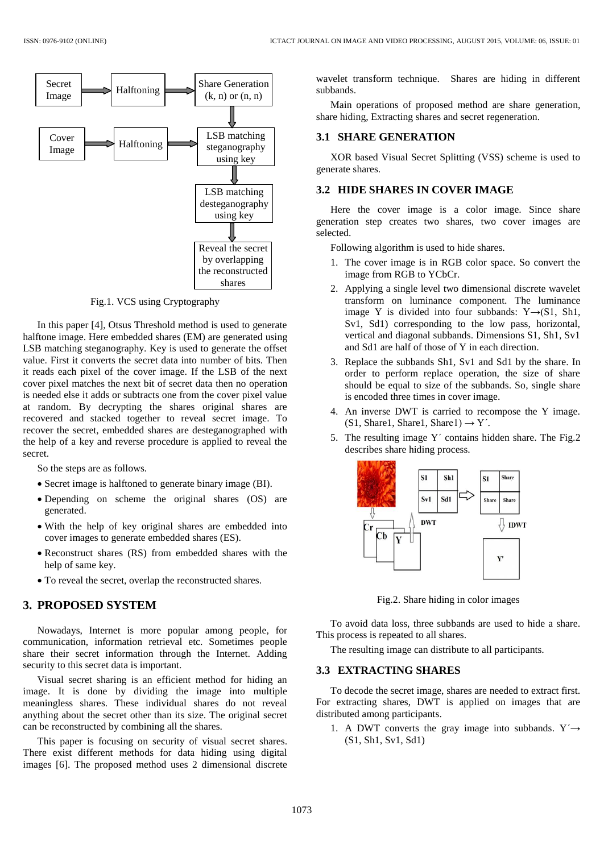

Fig.1. VCS using Cryptography

In this paper [4], Otsus Threshold method is used to generate halftone image. Here embedded shares (EM) are generated using LSB matching steganography. Key is used to generate the offset value. First it converts the secret data into number of bits. Then it reads each pixel of the cover image. If the LSB of the next cover pixel matches the next bit of secret data then no operation is needed else it adds or subtracts one from the cover pixel value at random. By decrypting the shares original shares are recovered and stacked together to reveal secret image. To recover the secret, embedded shares are desteganographed with the help of a key and reverse procedure is applied to reveal the secret.

So the steps are as follows.

- Secret image is halftoned to generate binary image (BI).
- Depending on scheme the original shares (OS) are generated.
- With the help of key original shares are embedded into cover images to generate embedded shares (ES).
- Reconstruct shares (RS) from embedded shares with the help of same key.
- To reveal the secret, overlap the reconstructed shares.

### **3. PROPOSED SYSTEM**

Nowadays, Internet is more popular among people, for communication, information retrieval etc. Sometimes people share their secret information through the Internet. Adding security to this secret data is important.

Visual secret sharing is an efficient method for hiding an image. It is done by dividing the image into multiple meaningless shares. These individual shares do not reveal anything about the secret other than its size. The original secret can be reconstructed by combining all the shares.

This paper is focusing on security of visual secret shares. There exist different methods for data hiding using digital images [6]. The proposed method uses 2 dimensional discrete

wavelet transform technique. Shares are hiding in different subbands.

Main operations of proposed method are share generation, share hiding, Extracting shares and secret regeneration.

#### **3.1 SHARE GENERATION**

XOR based Visual Secret Splitting (VSS) scheme is used to generate shares.

#### **3.2 HIDE SHARES IN COVER IMAGE**

Here the cover image is a color image. Since share generation step creates two shares, two cover images are selected.

Following algorithm is used to hide shares.

- 1. The cover image is in RGB color space. So convert the image from RGB to YCbCr.
- 2. Applying a single level two dimensional discrete wavelet transform on luminance component. The luminance image Y is divided into four subbands:  $Y \rightarrow (S1, Sh1,$ Sv1, Sd1) corresponding to the low pass, horizontal, vertical and diagonal subbands. Dimensions S1, Sh1, Sv1 and Sd1 are half of those of Y in each direction.
- 3. Replace the subbands Sh1, Sv1 and Sd1 by the share. In order to perform replace operation, the size of share should be equal to size of the subbands. So, single share is encoded three times in cover image.
- 4. An inverse DWT is carried to recompose the Y image.  $(S1, Share1, Share1, Share1) \rightarrow Y'.$
- 5. The resulting image Y´ contains hidden share. The Fig.2 describes share hiding process.



Fig.2. Share hiding in color images

To avoid data loss, three subbands are used to hide a share. This process is repeated to all shares.

The resulting image can distribute to all participants.

#### **3.3 EXTRACTING SHARES**

To decode the secret image, shares are needed to extract first. For extracting shares, DWT is applied on images that are distributed among participants.

1. A DWT converts the gray image into subbands.  $Y' \rightarrow$ (S1, Sh1, Sv1, Sd1)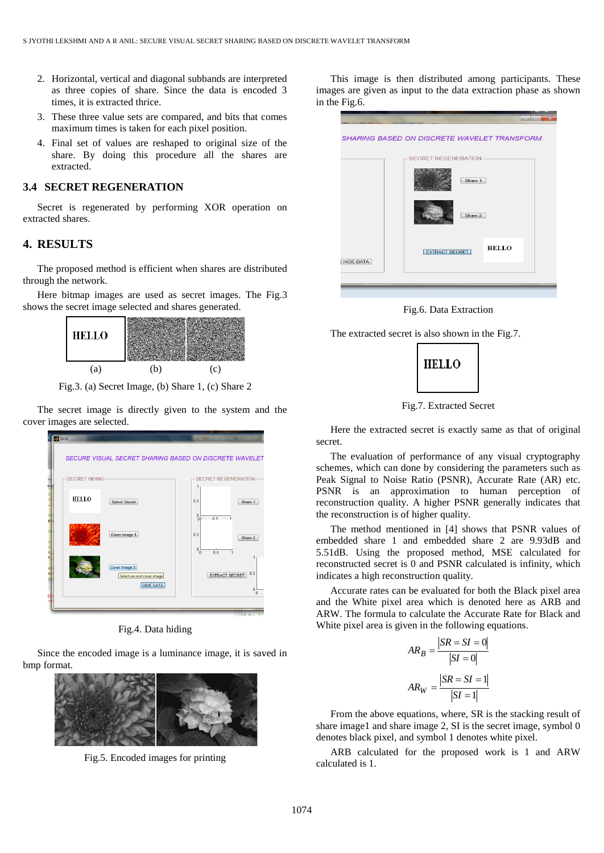- 2. Horizontal, vertical and diagonal subbands are interpreted as three copies of share. Since the data is encoded 3 times, it is extracted thrice.
- 3. These three value sets are compared, and bits that comes maximum times is taken for each pixel position.
- 4. Final set of values are reshaped to original size of the share. By doing this procedure all the shares are extracted.

### **3.4 SECRET REGENERATION**

Secret is regenerated by performing XOR operation on extracted shares.

## **4. RESULTS**

The proposed method is efficient when shares are distributed through the network.

Here bitmap images are used as secret images. The Fig.3 shows the secret image selected and shares generated.



Fig.3. (a) Secret Image, (b) Share 1, (c) Share 2

The secret image is directly given to the system and the cover images are selected.



Fig.4. Data hiding

Since the encoded image is a luminance image, it is saved in bmp format.



Fig.5. Encoded images for printing

This image is then distributed among participants. These images are given as input to the data extraction phase as shown in the Fig.6.

|                  | <b>SHARING BASED ON DISCRETE WAVELET TRANSFORM</b> |
|------------------|----------------------------------------------------|
|                  | SECRET REGENERATION-                               |
|                  | Share 1                                            |
|                  | Share 2                                            |
| <b>HIDE DATA</b> | <b>HELLO</b><br><b>EXTRACT SECRET</b>              |
|                  |                                                    |
|                  |                                                    |

Fig.6. Data Extraction

The extracted secret is also shown in the Fig.7.



Fig.7. Extracted Secret

Here the extracted secret is exactly same as that of original secret.

The evaluation of performance of any visual cryptography schemes, which can done by considering the parameters such as Peak Signal to Noise Ratio (PSNR), Accurate Rate (AR) etc. PSNR is an approximation to human perception of reconstruction quality. A higher PSNR generally indicates that the reconstruction is of higher quality.

The method mentioned in [4] shows that PSNR values of embedded share 1 and embedded share 2 are 9.93dB and 5.51dB. Using the proposed method, MSE calculated for reconstructed secret is 0 and PSNR calculated is infinity, which indicates a high reconstruction quality.

Accurate rates can be evaluated for both the Black pixel area and the White pixel area which is denoted here as ARB and ARW. The formula to calculate the Accurate Rate for Black and White pixel area is given in the following equations.

$$
AR_B = \frac{|SR = SI = 0|}{|SI = 0|}
$$

$$
AR_W = \frac{|SR = SI = 1|}{|SI = 1|}
$$

From the above equations, where, SR is the stacking result of share image1 and share image 2, SI is the secret image, symbol 0 denotes black pixel, and symbol 1 denotes white pixel.

ARB calculated for the proposed work is 1 and ARW calculated is 1.